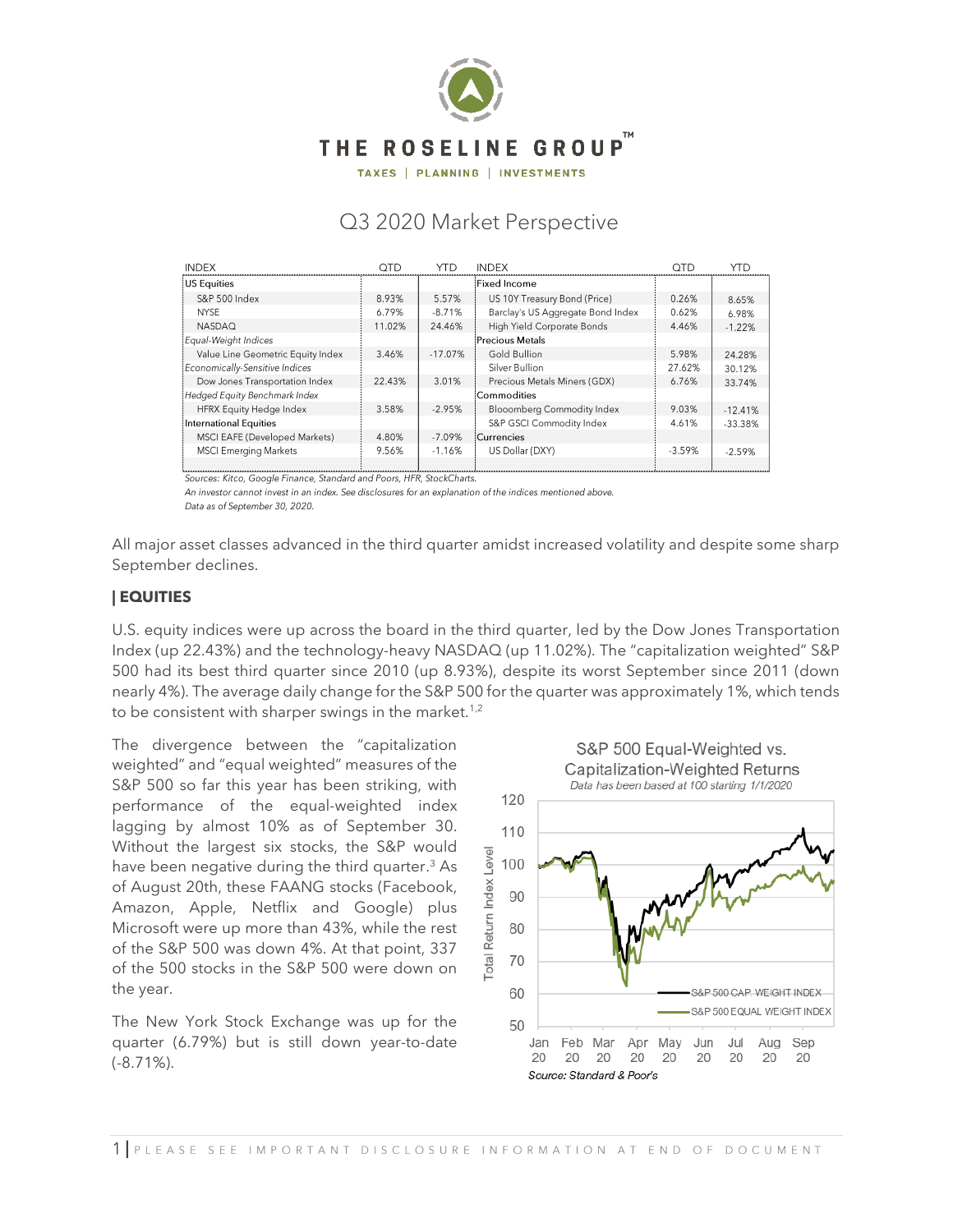

TAXES | PLANNING | INVESTMENTS

# Q3 2020 Market Perspective

| <b>INDEX</b>                      | OTD    | YTD       | <b>INDEX</b>                      | <b>OTD</b> | <b>YTD</b> |
|-----------------------------------|--------|-----------|-----------------------------------|------------|------------|
| US Equities                       |        |           | <b>Fixed Income</b>               |            |            |
| S&P 500 Index                     | 8.93%  | 5.57%     | US 10Y Treasury Bond (Price)      | 0.26%      | 8.65%      |
| <b>NYSE</b>                       | 6.79%  | $-8.71%$  | Barclay's US Aggregate Bond Index | 0.62%      | 6.98%      |
| <b>NASDAQ</b>                     | 11.02% | 24.46%    | High Yield Corporate Bonds        | 4.46%      | $-1.22%$   |
| Equal-Weight Indices              |        |           | Precious Metals                   |            |            |
| Value Line Geometric Equity Index | 3.46%  | $-17.07%$ | Gold Bullion                      | 5.98%      | 24.28%     |
| Economically-Sensitive Indices    |        |           | Silver Bullion                    | 27.62%     | 30.12%     |
| Dow Jones Transportation Index    | 22.43% | 3.01%     | Precious Metals Miners (GDX)      | 6.76%      | 33.74%     |
| Hedged Equity Benchmark Index     |        |           | Commodities                       |            |            |
| <b>HFRX Equity Hedge Index</b>    | 3.58%  | $-2.95%$  | <b>Blooomberg Commodity Index</b> | 9.03%      | $-12.41%$  |
| International Equities            |        |           | S&P GSCI Commodity Index          | 4.61%      | $-33.38%$  |
| MSCI EAFE (Developed Markets)     | 4.80%  | $-7.09%$  | Currencies                        |            |            |
| <b>MSCI Emerging Markets</b>      | 9.56%  | $-1.16%$  | US Dollar (DXY)                   | $-3.59%$   | $-2.59%$   |
|                                   |        |           |                                   |            |            |

Sources: Kitco, Google Finance, Standard and Poors, HFR, StockCharts.

An investor cannot invest in an index. See disclosures for an explanation of the indices mentioned above. Data as of September 30, 2020.

All major asset classes advanced in the third quarter amidst increased volatility and despite some sharp September declines.

### **| EQUITIES**

U.S. equity indices were up across the board in the third quarter, led by the Dow Jones Transportation Index (up 22.43%) and the technology-heavy NASDAQ (up 11.02%). The "capitalization weighted" S&P 500 had its best third quarter since 2010 (up 8.93%), despite its worst September since 2011 (down nearly 4%). The average daily change for the S&P 500 for the quarter was approximately 1%, which tends to be consistent with sharper swings in the market.<sup>1,2</sup>

The divergence between the "capitalization weighted" and "equal weighted" measures of the S&P 500 so far this year has been striking, with performance of the equal-weighted index lagging by almost 10% as of September 30. Without the largest six stocks, the S&P would have been negative during the third quarter. <sup>3</sup> As of August 20th, these FAANG stocks (Facebook, Amazon, Apple, Netflix and Google) plus Microsoft were up more than 43%, while the rest of the S&P 500 was down 4%. At that point, 337 of the 500 stocks in the S&P 500 were down on the year.

The New York Stock Exchange was up for the quarter (6.79%) but is still down year-to-date (-8.71%).

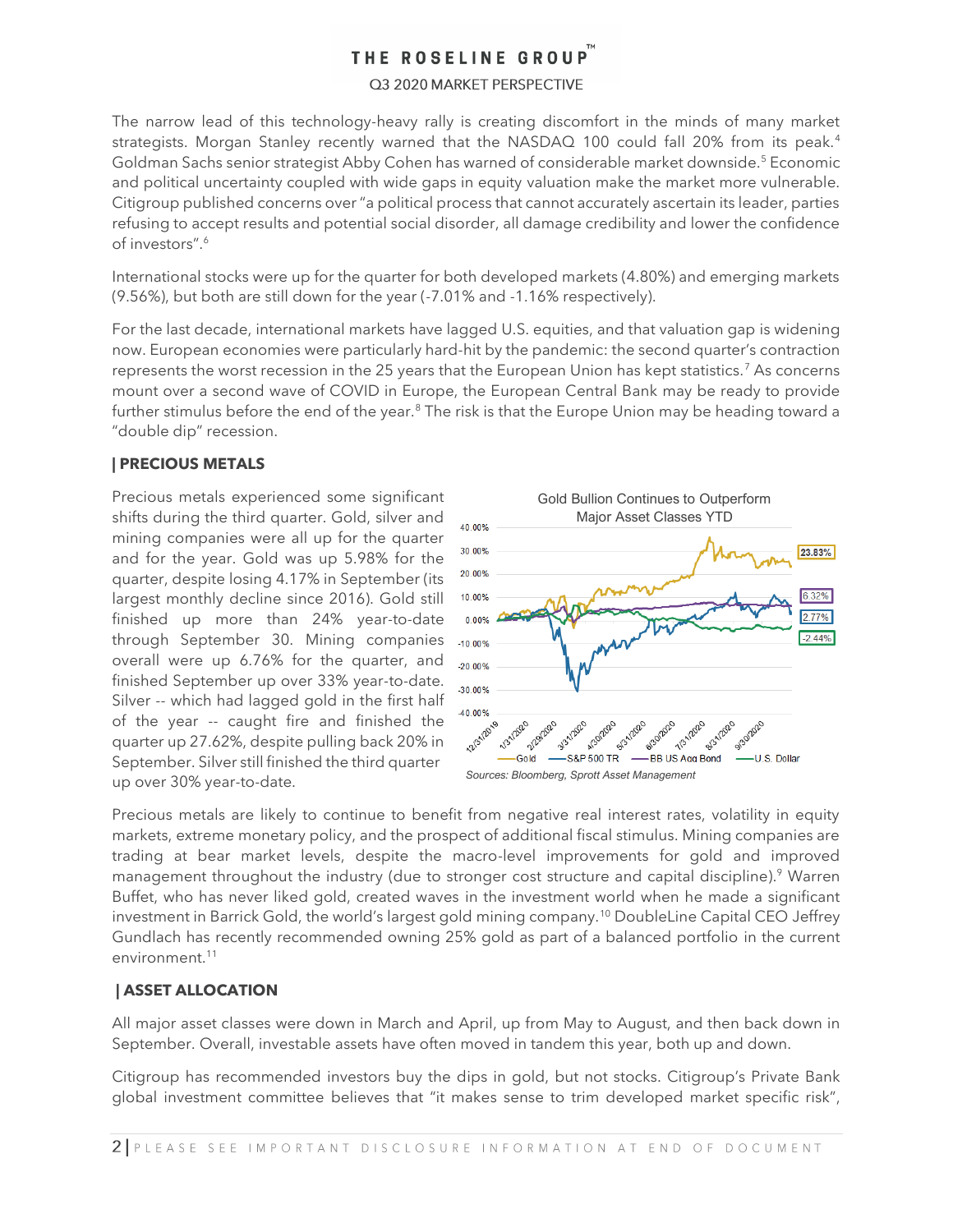### Q3 2020 MARKET PERSPECTIVE

The narrow lead of this technology-heavy rally is creating discomfort in the minds of many market strategists. Morgan Stanley recently warned that the NASDAQ 100 could fall 20% from its peak.<sup>4</sup> Goldman Sachs senior strategist Abby Cohen has warned of considerable market downside.<sup>5</sup> Economic and political uncertainty coupled with wide gaps in equity valuation make the market more vulnerable. Citigroup published concerns over "a political process that cannot accurately ascertain its leader, parties refusing to accept results and potential social disorder, all damage credibility and lower the confidence of investors" 6

International stocks were up for the quarter for both developed markets (4.80%) and emerging markets (9.56%), but both are still down for the year (-7.01% and -1.16% respectively).

For the last decade, international markets have lagged U.S. equities, and that valuation gap is widening now. European economies were particularly hard-hit by the pandemic: the second quarter's contraction represents the worst recession in the 25 years that the European Union has kept statistics.<sup>7</sup> As concerns mount over a second wave of COVID in Europe, the European Central Bank may be ready to provide further stimulus before the end of the year.<sup>8</sup> The risk is that the Europe Union may be heading toward a "double dip" recession.

## **| PRECIOUS METALS**

Precious metals experienced some significant shifts during the third quarter. Gold, silver and mining companies were all up for the quarter and for the year. Gold was up 5.98% for the quarter, despite losing 4.17% in September (its largest monthly decline since 2016). Gold still finished up more than 24% year-to-date through September 30. Mining companies overall were up 6.76% for the quarter, and finished September up over 33% year-to-date. Silver -- which had lagged gold in the first half of the year -- caught fire and finished the quarter up 27.62%, despite pulling back 20% in September. Silver still finished the third quarter up over 30% year-to-date.



Precious metals are likely to continue to benefit from negative real interest rates, volatility in equity markets, extreme monetary policy, and the prospect of additional fiscal stimulus. Mining companies are trading at bear market levels, despite the macro-level improvements for gold and improved management throughout the industry (due to stronger cost structure and capital discipline). <sup>9</sup> Warren Buffet, who has never liked gold, created waves in the investment world when he made a significant investment in Barrick Gold, the world's largest gold mining company.<sup>10</sup> DoubleLine Capital CEO Jeffrey Gundlach has recently recommended owning 25% gold as part of a balanced portfolio in the current environment. 11

## **| ASSET ALLOCATION**

All major asset classes were down in March and April, up from May to August, and then back down in September. Overall, investable assets have often moved in tandem this year, both up and down.

Citigroup has recommended investors buy the dips in gold, but not stocks. Citigroup's Private Bank global investment committee believes that "it makes sense to trim developed market specific risk",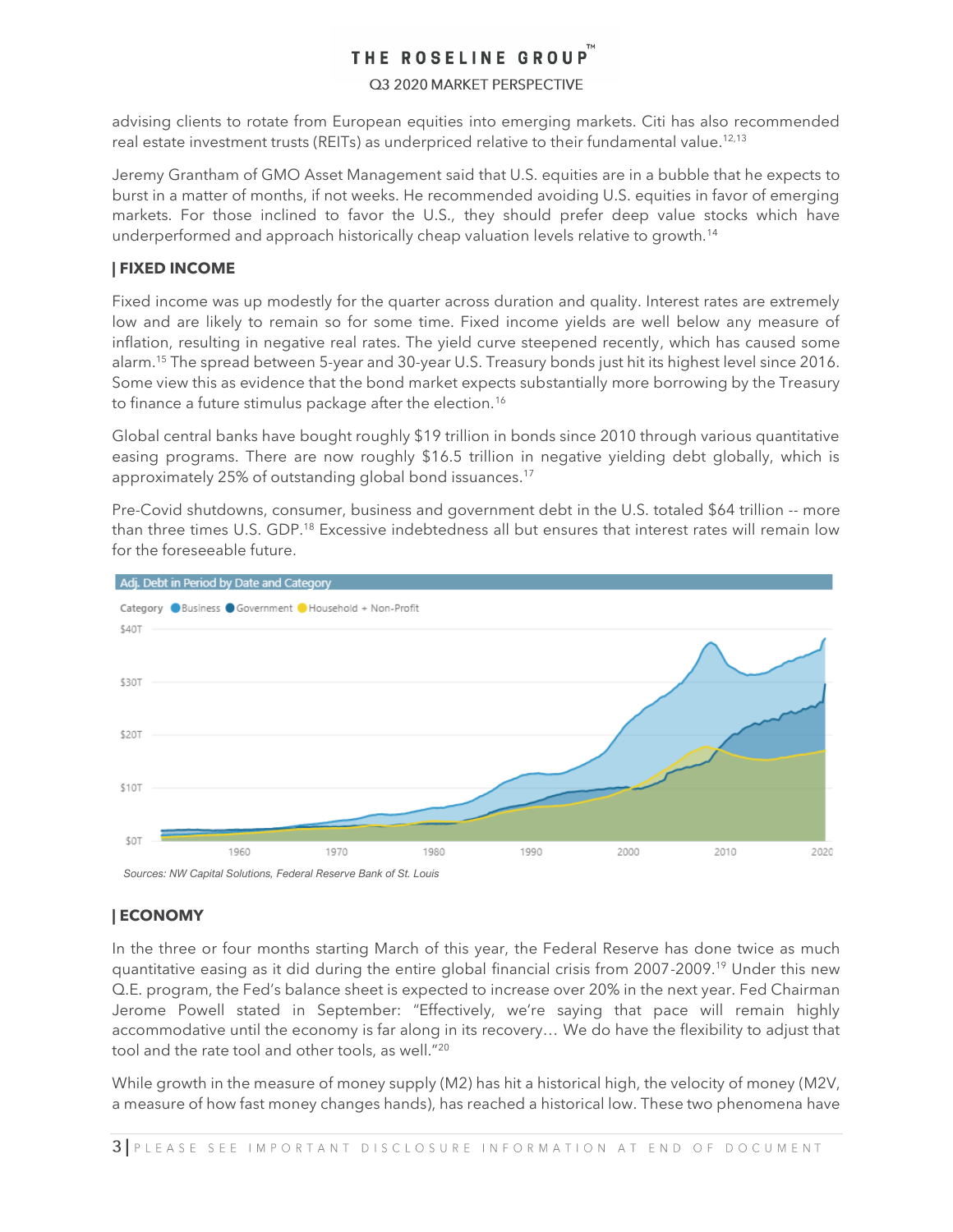### Q3 2020 MARKET PERSPECTIVE

advising clients to rotate from European equities into emerging markets. Citi has also recommended real estate investment trusts (REITs) as underpriced relative to their fundamental value. $^{12,13}$ 

Jeremy Grantham of GMO Asset Management said that U.S. equities are in a bubble that he expects to burst in a matter of months, if not weeks. He recommended avoiding U.S. equities in favor of emerging markets. For those inclined to favor the U.S., they should prefer deep value stocks which have underperformed and approach historically cheap valuation levels relative to growth.<sup>14</sup>

## **| FIXED INCOME**

Fixed income was up modestly for the quarter across duration and quality. Interest rates are extremely low and are likely to remain so for some time. Fixed income yields are well below any measure of inflation, resulting in negative real rates. The yield curve steepened recently, which has caused some alarm.<sup>15</sup> The spread between 5-year and 30-year U.S. Treasury bonds just hit its highest level since 2016. Some view this as evidence that the bond market expects substantially more borrowing by the Treasury to finance a future stimulus package after the election.<sup>16</sup>

Global central banks have bought roughly \$19 trillion in bonds since 2010 through various quantitative easing programs. There are now roughly \$16.5 trillion in negative yielding debt globally, which is approximately 25% of outstanding global bond issuances. 17

Pre-Covid shutdowns, consumer, business and government debt in the U.S. totaled \$64 trillion -- more than three times U.S. GDP.<sup>18</sup> Excessive indebtedness all but ensures that interest rates will remain low for the foreseeable future.



## **| ECONOMY**

In the three or four months starting March of this year, the Federal Reserve has done twice as much quantitative easing as it did during the entire global financial crisis from 2007-2009.<sup>19</sup> Under this new Q.E. program, the Fed's balance sheet is expected to increase over 20% in the next year. Fed Chairman Jerome Powell stated in September: "Effectively, we're saying that pace will remain highly accommodative until the economy is far along in its recovery… We do have the flexibility to adjust that tool and the rate tool and other tools, as well."<sup>20</sup>

While growth in the measure of money supply (M2) has hit a historical high, the velocity of money (M2V, a measure of how fast money changes hands), has reached a historical low. These two phenomena have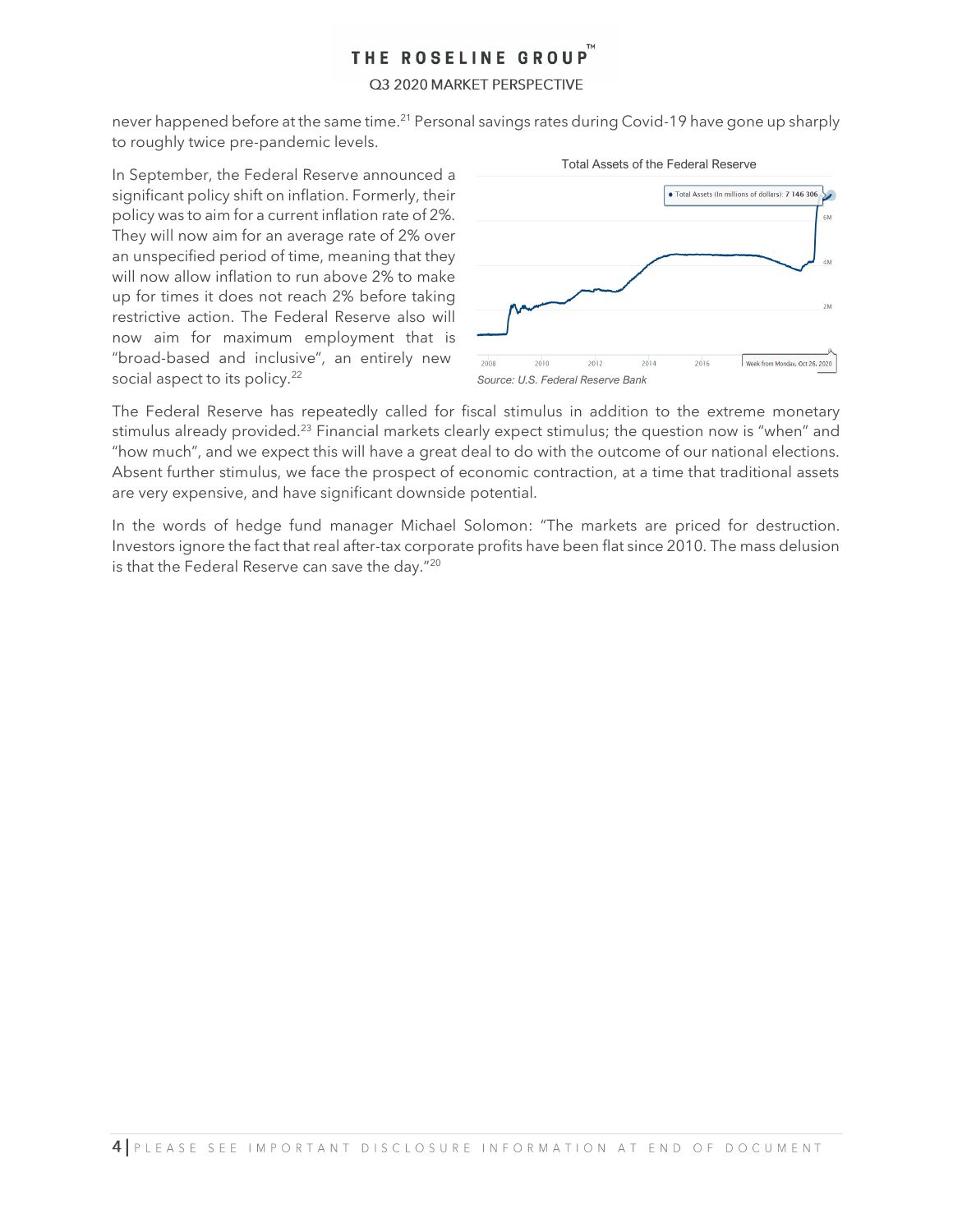### Q3 2020 MARKET PERSPECTIVE

never happened before at the same time.<sup>21</sup> Personal savings rates during Covid-19 have gone up sharply to roughly twice pre-pandemic levels.

In September, the Federal Reserve announced a significant policy shift on inflation. Formerly, their policy was to aim for a current inflation rate of 2%. They will now aim for an average rate of 2% over an unspecified period of time, meaning that they will now allow inflation to run above 2% to make up for times it does not reach 2% before taking restrictive action. The Federal Reserve also will now aim for maximum employment that is "broad-based and inclusive", an entirely new social aspect to its policy.<sup>22</sup>



The Federal Reserve has repeatedly called for fiscal stimulus in addition to the extreme monetary stimulus already provided.<sup>23</sup> Financial markets clearly expect stimulus; the question now is "when" and "how much", and we expect this will have a great deal to do with the outcome of our national elections. Absent further stimulus, we face the prospect of economic contraction, at a time that traditional assets are very expensive, and have significant downside potential.

In the words of hedge fund manager Michael Solomon: "The markets are priced for destruction. Investors ignore the fact that real after-tax corporate profits have been flat since 2010. The mass delusion is that the Federal Reserve can save the day."<sup>20</sup>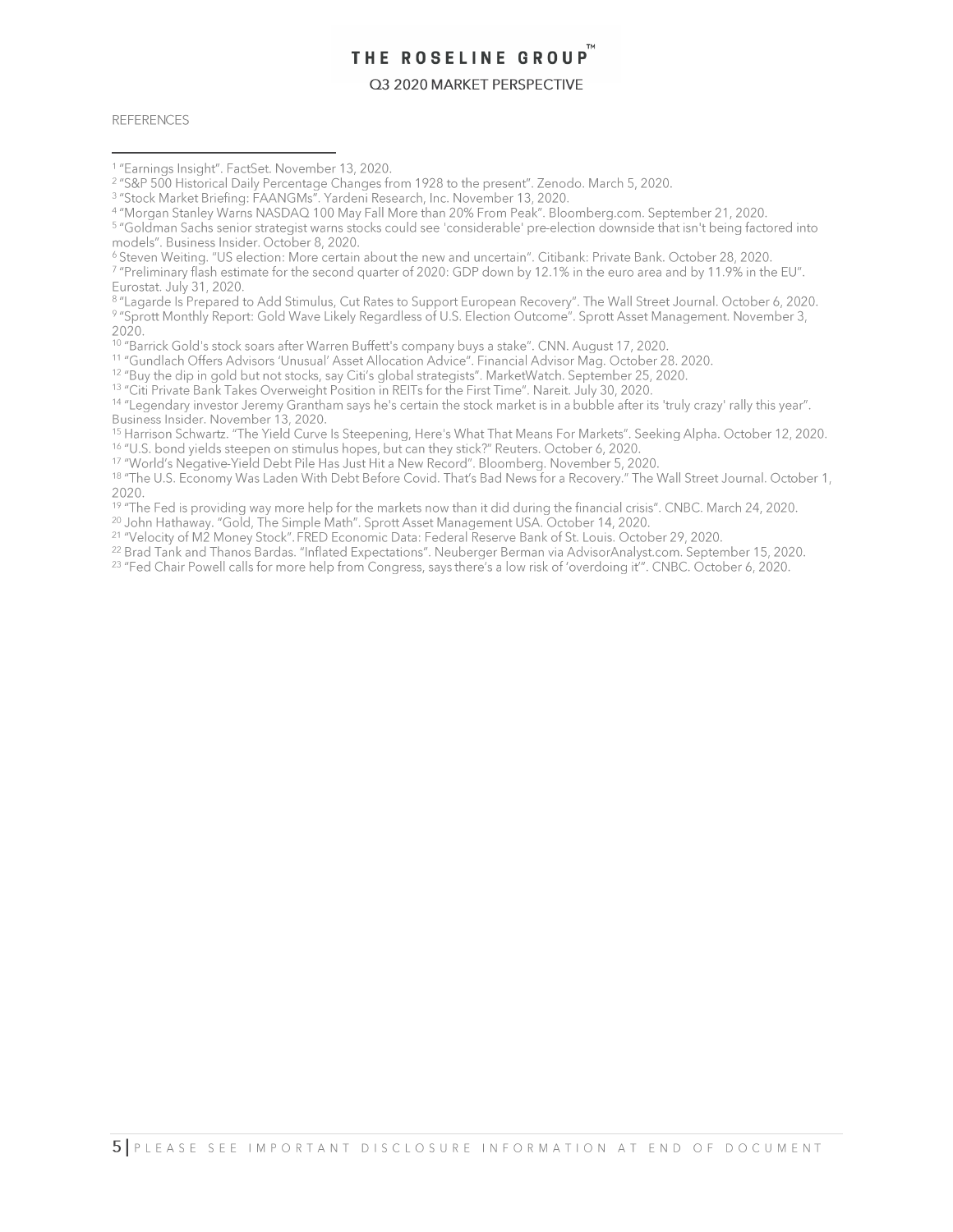#### Q3 2020 MARKET PERSPECTIVE

**REFERENCES** 

<sup>8</sup> "Lagarde Is Prepared to Add Stimulus, Cut Rates to Support European Recovery". The Wall Street Journal. October 6, 2020. 9 "Sprott Monthly Report: Gold Wave Likely Regardless of U.S. Election Outcome". Sprott Asset Management. November 3, 2020.

<sup>10</sup> "Barrick Gold's stock soars after Warren Buffett's company buys a stake". CNN. August 17, 2020.<br><sup>11</sup> "Gundlach Offers Advisors 'Unusual' Asset Allocation Advice". Financial Advisor Mag. October 28. 2020.<br><sup>12</sup> "Buy the

<sup>13</sup> "Citi Private Bank Takes Overweight Position in REITs for the First Time". Nareit. July 30, 2020.

<sup>14</sup> "Legendary investor Jeremy Grantham says he's certain the stock market is in a bubble after its 'truly crazy' rally this year". Business Insider. November 13, 2020.

<sup>15</sup> Harrison Schwartz. "The Yield Curve Is Steepening, Here's What That Means For Markets". Seeking Alpha. October 12, 2020. <sup>16</sup> "U.S. bond vields steepen on stimulus hopes, but can they stick?" Reuters, October 6, 2020.

<sup>17</sup> "World's Negative-Yield Debt Pile Has Just Hit a New Record". Bloomberg. November 5, 2020.

<sup>18</sup> "The U.S. Economy Was Laden With Debt Before Covid. That's Bad News for a Recovery." The Wall Street Journal. October 1, 2020.

<sup>19</sup> "The Fed is providing way more help for the markets now than it did during the financial crisis". CNBC. March 24, 2020.

<sup>20</sup> John Hathaway. "Gold, The Simple Math". Sprott Asset Management USA. October 14, 2020.

<sup>21</sup> "Velocity of M2 Money Stock". FRED Economic Data: Federal Reserve Bank of St. Louis. October 29, 2020.

<sup>22</sup> Brad Tank and Thanos Bardas. "Inflated Expectations". Neuberger Berman via AdvisorAnalyst.com. September 15, 2020.

<sup>23</sup> "Fed Chair Powell calls for more help from Congress, says there's a low risk of 'overdoing it'". CNBC. October 6, 2020.

<sup>&</sup>lt;sup>1</sup> "Earnings Insight". FactSet. November 13, 2020.

<sup>&</sup>lt;sup>2</sup> "S&P 500 Historical Daily Percentage Changes from 1928 to the present". Zenodo. March 5, 2020.

a "Stock Market Briefing: FAANGMs". Yardeni Research, Inc. November 13, 2020.<br>4 "Morgan Stanley Warns NASDAQ 100 May Fall More than 20% From Peak". Bloomberg.com. September 21, 2020.

<sup>5 &</sup>quot;Goldman Sachs senior strategist warns stocks could see 'considerable' pre-election downside that isn't being factored into models". Business Insider. October 8, 2020.

<sup>&</sup>lt;sup>6</sup> Steven Weiting. "US election: More certain about the new and uncertain". Citibank: Private Bank. October 28, 2020.

<sup>&</sup>lt;sup>7</sup> "Preliminary flash estimate for the second quarter of 2020: GDP down by 12.1% in the euro area and by 11.9% in the EU". Eurostat. July 31, 2020.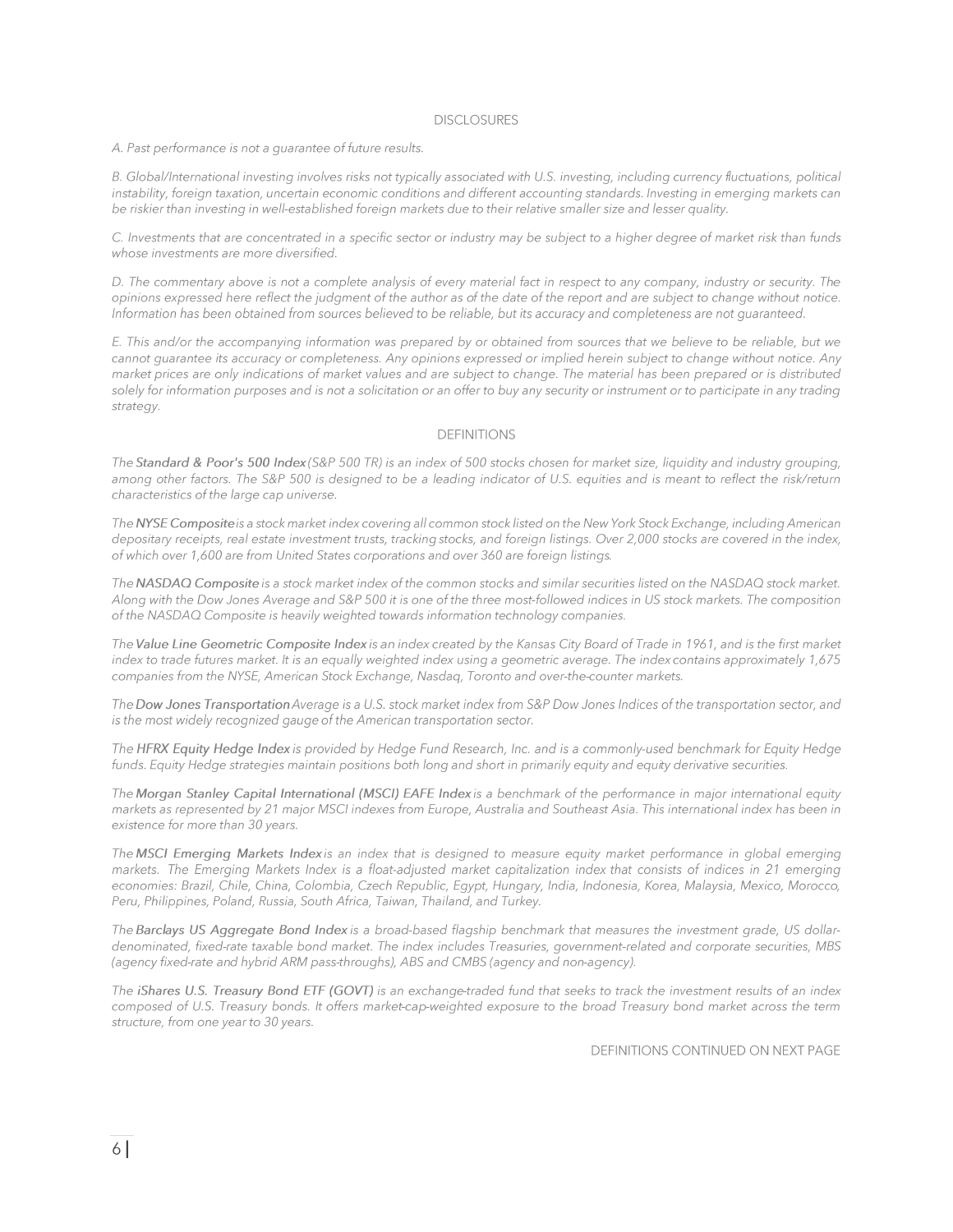#### **DISCLOSURES**

A. Past performance is not a quarantee of future results.

B. Global/International investing involves risks not typically associated with U.S. investing, including currency fluctuations, political instability, foreign taxation, uncertain economic conditions and different accounting standards. Investing in emerging markets can be riskier than investing in well-established foreign markets due to their relative smaller size and lesser quality.

C. Investments that are concentrated in a specific sector or industry may be subject to a higher degree of market risk than funds whose investments are more diversified.

D. The commentary above is not a complete analysis of every material fact in respect to any company, industry or security. The opinions expressed here reflect the judgment of the author as of the date of the report and are subject to change without notice. Information has been obtained from sources believed to be reliable, but its accuracy and completeness are not guaranteed.

E. This and/or the accompanying information was prepared by or obtained from sources that we believe to be reliable, but we cannot guarantee its accuracy or completeness. Any opinions expressed or implied herein subject to change without notice. Any market prices are only indications of market values and are subject to change. The material has been prepared or is distributed solely for information purposes and is not a solicitation or an offer to buy any security or instrument or to participate in any trading strategy.

#### **DEFINITIONS**

The Standard & Poor's 500 Index (S&P 500 TR) is an index of 500 stocks chosen for market size, liquidity and industry grouping, among other factors. The S&P 500 is designed to be a leading indicator of U.S. equities and is meant to reflect the risk/return characteristics of the large cap universe.

The NYSE Composite is a stock market index covering all common stock listed on the New York Stock Exchange, including American depositary receipts, real estate investment trusts, tracking stocks, and foreign listings. Over 2,000 stocks are covered in the index, of which over 1,600 are from United States corporations and over 360 are foreign listings.

The NASDAQ Composite is a stock market index of the common stocks and similar securities listed on the NASDAQ stock market. Along with the Dow Jones Average and S&P 500 it is one of the three most-followed indices in US stock markets. The composition of the NASDAQ Composite is heavily weighted towards information technology companies.

The Value Line Geometric Composite Index is an index created by the Kansas City Board of Trade in 1961, and is the first market index to trade futures market. It is an equally weighted index using a geometric average. The index contains approximately 1,675 companies from the NYSE, American Stock Exchange, Nasdaq, Toronto and over-the-counter markets.

The Dow Jones Transportation Average is a U.S. stock market index from S&P Dow Jones Indices of the transportation sector, and is the most widely recognized gauge of the American transportation sector.

The HFRX Equity Hedge Index is provided by Hedge Fund Research, Inc. and is a commonly-used benchmark for Equity Hedge funds. Equity Hedge strategies maintain positions both long and short in primarily equity and equity derivative securities.

The Morgan Stanley Capital International (MSCI) EAFE Index is a benchmark of the performance in major international equity markets as represented by 21 major MSCI indexes from Europe, Australia and Southeast Asia. This international index has been in existence for more than 30 years.

The MSCI Emerging Markets Index is an index that is designed to measure equity market performance in global emerging markets. The Emerging Markets Index is a float-adjusted market capitalization index that consists of indices in 21 emerging economies: Brazil, Chile, China, Colombia, Czech Republic, Egypt, Hungary, India, Indonesia, Korea, Malaysia, Mexico, Morocco, Peru, Philippines, Poland, Russia, South Africa, Taiwan, Thailand, and Turkey.

The Barclays US Aggregate Bond Index is a broad-based flagship benchmark that measures the investment grade, US dollardenominated, fixed-rate taxable bond market. The index includes Treasuries, government-related and corporate securities, MBS (agency fixed-rate and hybrid ARM pass-throughs), ABS and CMBS (agency and non-agency).

The iShares U.S. Treasury Bond ETF (GOVT) is an exchange-traded fund that seeks to track the investment results of an index composed of U.S. Treasury bonds. It offers market-cap-weighted exposure to the broad Treasury bond market across the term structure, from one year to 30 years.

**DEFINITIONS CONTINUED ON NEXT PAGE**